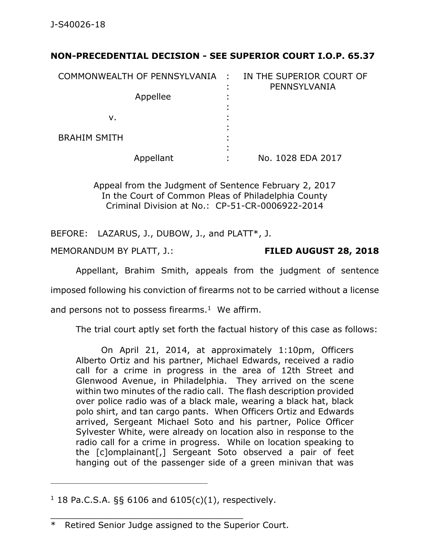## **NON-PRECEDENTIAL DECISION - SEE SUPERIOR COURT I.O.P. 65.37**

| COMMONWEALTH OF PENNSYLVANIA : |                | IN THE SUPERIOR COURT OF<br>PENNSYLVANIA |
|--------------------------------|----------------|------------------------------------------|
| Appellee                       | ٠<br>٠         |                                          |
|                                |                |                                          |
| v.                             |                |                                          |
| <b>BRAHIM SMITH</b>            |                |                                          |
|                                | $\blacksquare$ |                                          |
| Appellant                      |                | No. 1028 EDA 2017                        |

Appeal from the Judgment of Sentence February 2, 2017 In the Court of Common Pleas of Philadelphia County Criminal Division at No.: CP-51-CR-0006922-2014

BEFORE: LAZARUS, J., DUBOW, J., and PLATT\*, J.

MEMORANDUM BY PLATT, J.: **FILED AUGUST 28, 2018**

Appellant, Brahim Smith, appeals from the judgment of sentence

imposed following his conviction of firearms not to be carried without a license

and persons not to possess firearms. $1$  We affirm.

The trial court aptly set forth the factual history of this case as follows:

On April 21, 2014, at approximately 1:10pm, Officers Alberto Ortiz and his partner, Michael Edwards, received a radio call for a crime in progress in the area of 12th Street and Glenwood Avenue, in Philadelphia. They arrived on the scene within two minutes of the radio call. The flash description provided over police radio was of a black male, wearing a black hat, black polo shirt, and tan cargo pants. When Officers Ortiz and Edwards arrived, Sergeant Michael Soto and his partner, Police Officer Sylvester White, were already on location also in response to the radio call for a crime in progress. While on location speaking to the [c]omplainant[,] Sergeant Soto observed a pair of feet hanging out of the passenger side of a green minivan that was

\_\_\_\_\_\_\_\_\_\_\_\_\_\_\_\_\_\_\_\_\_\_\_\_\_\_\_\_\_\_\_\_\_\_\_\_

\_\_\_\_\_\_\_\_\_\_\_\_\_\_\_\_\_\_\_\_\_\_\_\_\_\_\_\_\_\_\_\_\_\_\_\_\_\_\_\_\_\_\_\_

<sup>&</sup>lt;sup>1</sup> 18 Pa.C.S.A. §§ 6106 and 6105(c)(1), respectively.

<sup>\*</sup> Retired Senior Judge assigned to the Superior Court.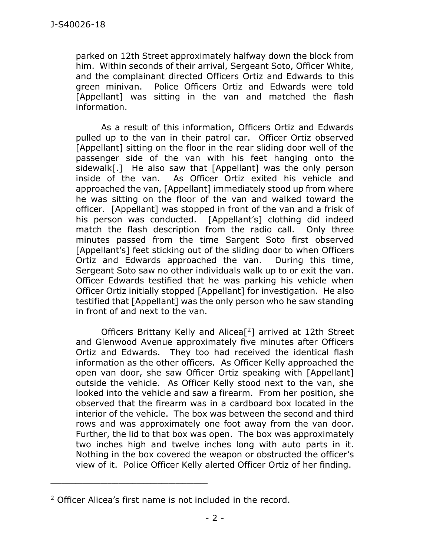parked on 12th Street approximately halfway down the block from him. Within seconds of their arrival, Sergeant Soto, Officer White, and the complainant directed Officers Ortiz and Edwards to this green minivan. Police Officers Ortiz and Edwards were told [Appellant] was sitting in the van and matched the flash information.

As a result of this information, Officers Ortiz and Edwards pulled up to the van in their patrol car. Officer Ortiz observed [Appellant] sitting on the floor in the rear sliding door well of the passenger side of the van with his feet hanging onto the sidewalk[.] He also saw that [Appellant] was the only person inside of the van. As Officer Ortiz exited his vehicle and approached the van, [Appellant] immediately stood up from where he was sitting on the floor of the van and walked toward the officer. [Appellant] was stopped in front of the van and a frisk of his person was conducted. [Appellant's] clothing did indeed match the flash description from the radio call. Only three minutes passed from the time Sargent Soto first observed [Appellant's] feet sticking out of the sliding door to when Officers Ortiz and Edwards approached the van. During this time, Sergeant Soto saw no other individuals walk up to or exit the van. Officer Edwards testified that he was parking his vehicle when Officer Ortiz initially stopped [Appellant] for investigation. He also testified that [Appellant] was the only person who he saw standing in front of and next to the van.

Officers Brittany Kelly and Alicea[ <sup>2</sup>] arrived at 12th Street and Glenwood Avenue approximately five minutes after Officers Ortiz and Edwards. They too had received the identical flash information as the other officers. As Officer Kelly approached the open van door, she saw Officer Ortiz speaking with [Appellant] outside the vehicle. As Officer Kelly stood next to the van, she looked into the vehicle and saw a firearm. From her position, she observed that the firearm was in a cardboard box located in the interior of the vehicle. The box was between the second and third rows and was approximately one foot away from the van door. Further, the lid to that box was open. The box was approximately two inches high and twelve inches long with auto parts in it. Nothing in the box covered the weapon or obstructed the officer's view of it. Police Officer Kelly alerted Officer Ortiz of her finding.

\_\_\_\_\_\_\_\_\_\_\_\_\_\_\_\_\_\_\_\_\_\_\_\_\_\_\_\_\_\_\_\_\_\_\_\_\_\_\_\_\_\_\_\_

<sup>&</sup>lt;sup>2</sup> Officer Alicea's first name is not included in the record.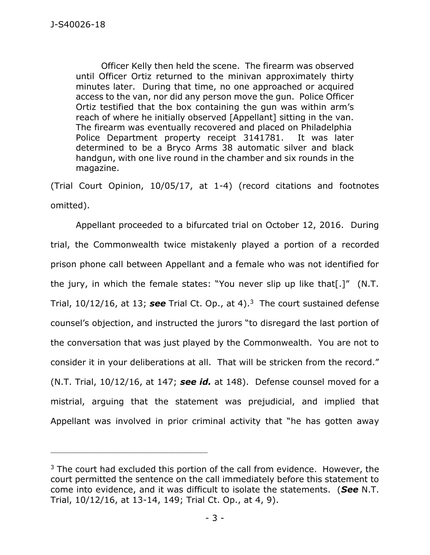Officer Kelly then held the scene. The firearm was observed until Officer Ortiz returned to the minivan approximately thirty minutes later. During that time, no one approached or acquired access to the van, nor did any person move the gun. Police Officer Ortiz testified that the box containing the gun was within arm's reach of where he initially observed [Appellant] sitting in the van. The firearm was eventually recovered and placed on Philadelphia Police Department property receipt 3141781. It was later determined to be a Bryco Arms 38 automatic silver and black handgun, with one live round in the chamber and six rounds in the magazine.

(Trial Court Opinion, 10/05/17, at 1-4) (record citations and footnotes omitted).

Appellant proceeded to a bifurcated trial on October 12, 2016. During trial, the Commonwealth twice mistakenly played a portion of a recorded prison phone call between Appellant and a female who was not identified for the jury, in which the female states: "You never slip up like that[.]" (N.T. Trial, 10/12/16, at 13; see Trial Ct. Op., at 4).<sup>3</sup> The court sustained defense counsel's objection, and instructed the jurors "to disregard the last portion of the conversation that was just played by the Commonwealth. You are not to consider it in your deliberations at all. That will be stricken from the record." (N.T. Trial, 10/12/16, at 147; *see id.* at 148). Defense counsel moved for a mistrial, arguing that the statement was prejudicial, and implied that Appellant was involved in prior criminal activity that "he has gotten away

\_\_\_\_\_\_\_\_\_\_\_\_\_\_\_\_\_\_\_\_\_\_\_\_\_\_\_\_\_\_\_\_\_\_\_\_\_\_\_\_\_\_\_\_

 $3$  The court had excluded this portion of the call from evidence. However, the court permitted the sentence on the call immediately before this statement to come into evidence, and it was difficult to isolate the statements. (*See* N.T. Trial, 10/12/16, at 13-14, 149; Trial Ct. Op., at 4, 9).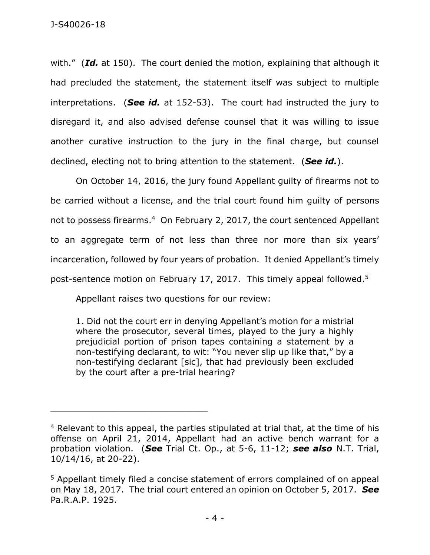with." (*Id.* at 150). The court denied the motion, explaining that although it had precluded the statement, the statement itself was subject to multiple interpretations. (*See id.* at 152-53). The court had instructed the jury to disregard it, and also advised defense counsel that it was willing to issue another curative instruction to the jury in the final charge, but counsel declined, electing not to bring attention to the statement. (*See id.*).

On October 14, 2016, the jury found Appellant guilty of firearms not to be carried without a license, and the trial court found him guilty of persons not to possess firearms. 4 On February 2, 2017, the court sentenced Appellant to an aggregate term of not less than three nor more than six years' incarceration, followed by four years of probation. It denied Appellant's timely post-sentence motion on February 17, 2017. This timely appeal followed.<sup>5</sup>

Appellant raises two questions for our review:

1. Did not the court err in denying Appellant's motion for a mistrial where the prosecutor, several times, played to the jury a highly prejudicial portion of prison tapes containing a statement by a non-testifying declarant, to wit: "You never slip up like that," by a non-testifying declarant [sic], that had previously been excluded by the court after a pre-trial hearing?

<sup>4</sup> Relevant to this appeal, the parties stipulated at trial that, at the time of his offense on April 21, 2014, Appellant had an active bench warrant for a probation violation. (*See* Trial Ct. Op., at 5-6, 11-12; *see also* N.T. Trial, 10/14/16, at 20-22).

<sup>5</sup> Appellant timely filed a concise statement of errors complained of on appeal on May 18, 2017. The trial court entered an opinion on October 5, 2017. *See* Pa.R.A.P. 1925.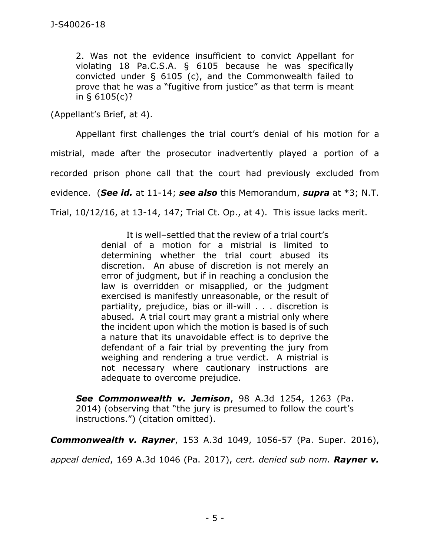2. Was not the evidence insufficient to convict Appellant for violating 18 Pa.C.S.A. § 6105 because he was specifically convicted under § 6105 (c), and the Commonwealth failed to prove that he was a "fugitive from justice" as that term is meant in § 6105(c)?

(Appellant's Brief, at 4).

Appellant first challenges the trial court's denial of his motion for a mistrial, made after the prosecutor inadvertently played a portion of a recorded prison phone call that the court had previously excluded from evidence. (*See id.* at 11-14; *see also* this Memorandum, *supra* at \*3; N.T. Trial, 10/12/16, at 13-14, 147; Trial Ct. Op., at 4). This issue lacks merit.

> It is well–settled that the review of a trial court's denial of a motion for a mistrial is limited to determining whether the trial court abused its discretion. An abuse of discretion is not merely an error of judgment, but if in reaching a conclusion the law is overridden or misapplied, or the judgment exercised is manifestly unreasonable, or the result of partiality, prejudice, bias or ill-will . . . discretion is abused. A trial court may grant a mistrial only where the incident upon which the motion is based is of such a nature that its unavoidable effect is to deprive the defendant of a fair trial by preventing the jury from weighing and rendering a true verdict. A mistrial is not necessary where cautionary instructions are adequate to overcome prejudice.

*See Commonwealth v. Jemison*, 98 A.3d 1254, 1263 (Pa. 2014) (observing that "the jury is presumed to follow the court's instructions.") (citation omitted).

*Commonwealth v. Rayner*, 153 A.3d 1049, 1056-57 (Pa. Super. 2016),

*appeal denied*, 169 A.3d 1046 (Pa. 2017), *cert. denied sub nom. Rayner v.*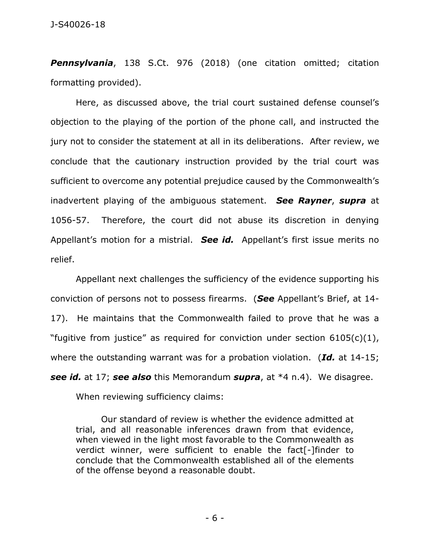*Pennsylvania*, 138 S.Ct. 976 (2018) (one citation omitted; citation formatting provided).

Here, as discussed above, the trial court sustained defense counsel's objection to the playing of the portion of the phone call, and instructed the jury not to consider the statement at all in its deliberations. After review, we conclude that the cautionary instruction provided by the trial court was sufficient to overcome any potential prejudice caused by the Commonwealth's inadvertent playing of the ambiguous statement. *See Rayner*, *supra* at 1056-57. Therefore, the court did not abuse its discretion in denying Appellant's motion for a mistrial. *See id.* Appellant's first issue merits no relief.

Appellant next challenges the sufficiency of the evidence supporting his conviction of persons not to possess firearms. (*See* Appellant's Brief, at 14- 17). He maintains that the Commonwealth failed to prove that he was a "fugitive from justice" as required for conviction under section  $6105(c)(1)$ , where the outstanding warrant was for a probation violation. (*Id.* at 14-15; *see id.* at 17; *see also* this Memorandum *supra*, at \*4 n.4). We disagree.

When reviewing sufficiency claims:

Our standard of review is whether the evidence admitted at trial, and all reasonable inferences drawn from that evidence, when viewed in the light most favorable to the Commonwealth as verdict winner, were sufficient to enable the fact[-]finder to conclude that the Commonwealth established all of the elements of the offense beyond a reasonable doubt.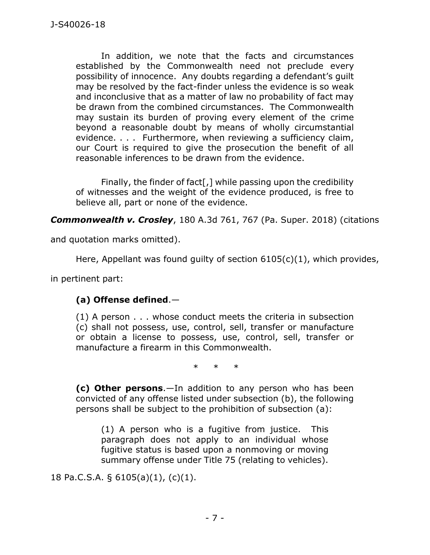In addition, we note that the facts and circumstances established by the Commonwealth need not preclude every possibility of innocence. Any doubts regarding a defendant's guilt may be resolved by the fact-finder unless the evidence is so weak and inconclusive that as a matter of law no probability of fact may be drawn from the combined circumstances. The Commonwealth may sustain its burden of proving every element of the crime beyond a reasonable doubt by means of wholly circumstantial evidence. . . . Furthermore, when reviewing a sufficiency claim, our Court is required to give the prosecution the benefit of all reasonable inferences to be drawn from the evidence.

Finally, the finder of fact[,] while passing upon the credibility of witnesses and the weight of the evidence produced, is free to believe all, part or none of the evidence.

*Commonwealth v. Crosley*, 180 A.3d 761, 767 (Pa. Super. 2018) (citations

and quotation marks omitted).

Here, Appellant was found guilty of section 6105(c)(1), which provides,

in pertinent part:

## **(a) Offense defined**.—

(1) A person . . . whose conduct meets the criteria in subsection (c) shall not possess, use, control, sell, transfer or manufacture or obtain a license to possess, use, control, sell, transfer or manufacture a firearm in this Commonwealth.

 $\begin{array}{ccc} \ast & \ast & \ast \end{array}$ 

**(c) Other persons**.—In addition to any person who has been convicted of any offense listed under subsection (b), the following persons shall be subject to the prohibition of subsection (a):

(1) A person who is a fugitive from justice. This paragraph does not apply to an individual whose fugitive status is based upon a nonmoving or moving summary offense under Title 75 (relating to vehicles).

18 Pa.C.S.A. § 6105(a)(1), (c)(1).